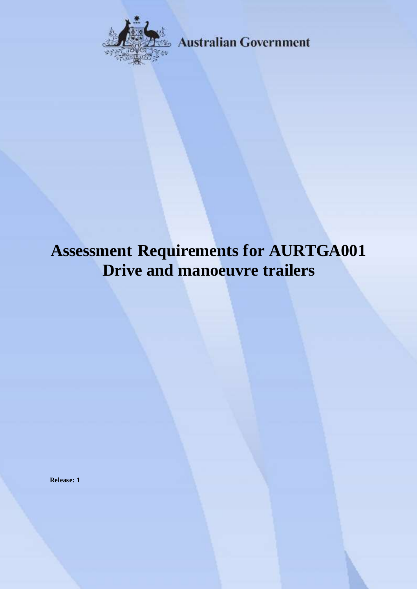

**Australian Government** 

# **Assessment Requirements for AURTGA001 Drive and manoeuvre trailers**

**Release: 1**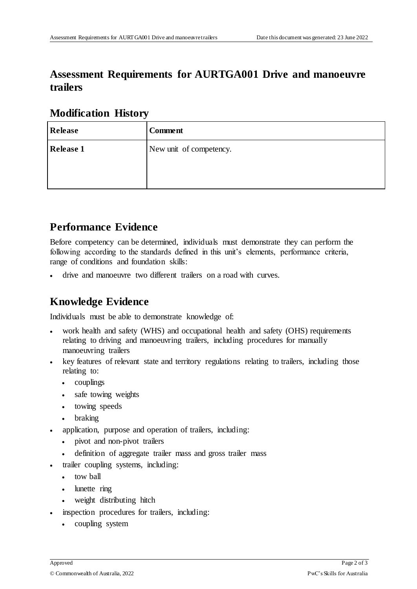## **Assessment Requirements for AURTGA001 Drive and manoeuvre trailers**

### **Modification History**

| <b>Release</b>   | <b>Comment</b>          |
|------------------|-------------------------|
| <b>Release 1</b> | New unit of competency. |
|                  |                         |
|                  |                         |

# **Performance Evidence**

Before competency can be determined, individuals must demonstrate they can perform the following according to the standards defined in this unit's elements, performance criteria, range of conditions and foundation skills:

drive and manoeuvre two different trailers on a road with curves.

## **Knowledge Evidence**

Individuals must be able to demonstrate knowledge of:

- work health and safety (WHS) and occupational health and safety (OHS) requirements relating to driving and manoeuvring trailers, including procedures for manually manoeuvring trailers
- key features of relevant state and territory regulations relating to trailers, including those relating to:
	- couplings
	- safe towing weights
	- towing speeds
	- braking
- application, purpose and operation of trailers, including:
	- pivot and non-pivot trailers
	- definition of aggregate trailer mass and gross trailer mass
- trailer coupling systems, including:
	- tow ball
	- lunette ring
	- weight distributing hitch
	- inspection procedures for trailers, including:
		- coupling system